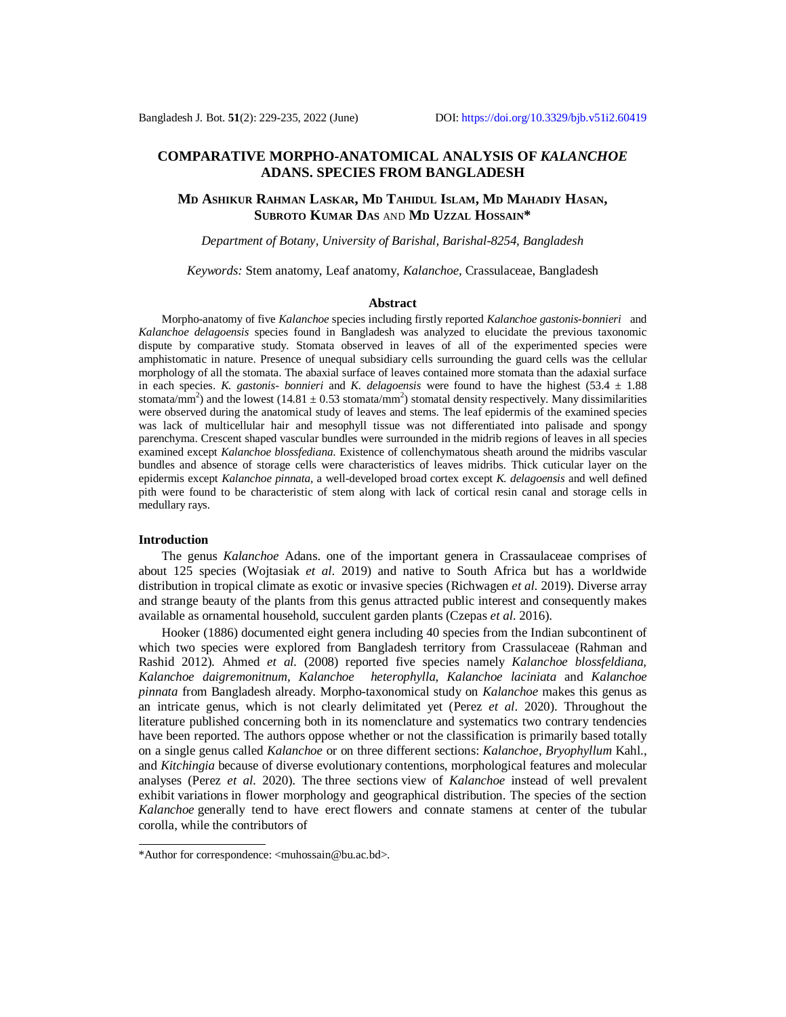# **COMPARATIVE MORPHO-ANATOMICAL ANALYSIS OF** *KALANCHOE*  **ADANS. SPECIES FROM BANGLADESH**

## **MD ASHIKUR RAHMAN LASKAR, MD TAHIDUL ISLAM, MD MAHADIY HASAN, SUBROTO KUMAR DAS** AND **MD UZZAL HOSSAIN\***

### *Department of Botany, University of Barishal, Barishal-8254, Bangladesh*

*Keywords:* Stem anatomy, Leaf anatomy, *Kalanchoe,* Crassulaceae, Bangladesh

#### **Abstract**

Morpho-anatomy of five *Kalanchoe* species including firstly reported *Kalanchoe gastonis-bonnieri* and *Kalanchoe delagoensis* species found in Bangladesh was analyzed to elucidate the previous taxonomic dispute by comparative study. Stomata observed in leaves of all of the experimented species were amphistomatic in nature. Presence of unequal subsidiary cells surrounding the guard cells was the cellular morphology of all the stomata. The abaxial surface of leaves contained more stomata than the adaxial surface in each species. *K. gastonis- bonnieri* and *K. delagoensis* were found to have the highest  $(53.4 \pm 1.88)$ stomata/mm<sup>2</sup>) and the lowest  $(14.81 \pm 0.53 \text{ stomata/mm}^2)$  stomatal density respectively. Many dissimilarities were observed during the anatomical study of leaves and stems. The leaf epidermis of the examined species was lack of multicellular hair and mesophyll tissue was not differentiated into palisade and spongy parenchyma. Crescent shaped vascular bundles were surrounded in the midrib regions of leaves in all species examined except *Kalanchoe blossfediana*. Existence of collenchymatous sheath around the midribs vascular bundles and absence of storage cells were characteristics of leaves midribs. Thick cuticular layer on the epidermis except *Kalanchoe pinnata*, a well-developed broad cortex except *K. delagoensis* and well defined pith were found to be characteristic of stem along with lack of cortical resin canal and storage cells in medullary rays.

#### **Introduction**

The genus *Kalanchoe* Adans. one of the important genera in Crassaulaceae comprises of about 125 species (Wojtasiak *et al*. 2019) and native to South Africa but has a worldwide distribution in tropical climate as exotic or invasive species (Richwagen *et al*. 2019). Diverse array and strange beauty of the plants from this genus attracted public interest and consequently makes available as ornamental household, succulent garden plants (Czepas *et al*. 2016).

Hooker (1886) documented eight genera including 40 species from the Indian subcontinent of which two species were explored from Bangladesh territory from Crassulaceae (Rahman and Rashid 2012). Ahmed *et al*. (2008) reported five species namely *Kalanchoe blossfeldiana, Kalanchoe daigremonitnum, Kalanchoe heterophylla, Kalanchoe laciniata* and *Kalanchoe pinnata* from Bangladesh already. Morpho-taxonomical study on *Kalanchoe* makes this genus as an intricate genus, which is not clearly delimitated yet (Perez *et al*. 2020). Throughout the literature published concerning both in its nomenclature and systematics two contrary tendencies have been reported. The authors oppose whether or not the classification is primarily based totally on a single genus called *Kalanchoe* or on three different sections: *Kalanchoe*, *Bryophyllum* Kahl., and *Kitchingia* because of diverse evolutionary contentions, morphological features and molecular analyses (Perez *et al*. 2020). The three sections view of *Kalanchoe* instead of well prevalent exhibit variations in flower morphology and geographical distribution. The species of the section *Kalanchoe* generally tend to have erect flowers and connate stamens at center of the tubular corolla, while the contributors of

<sup>\*</sup>Author for correspondence: [<muhossain@bu.ac.bd>](mailto:muhossain@bu.ac.bd).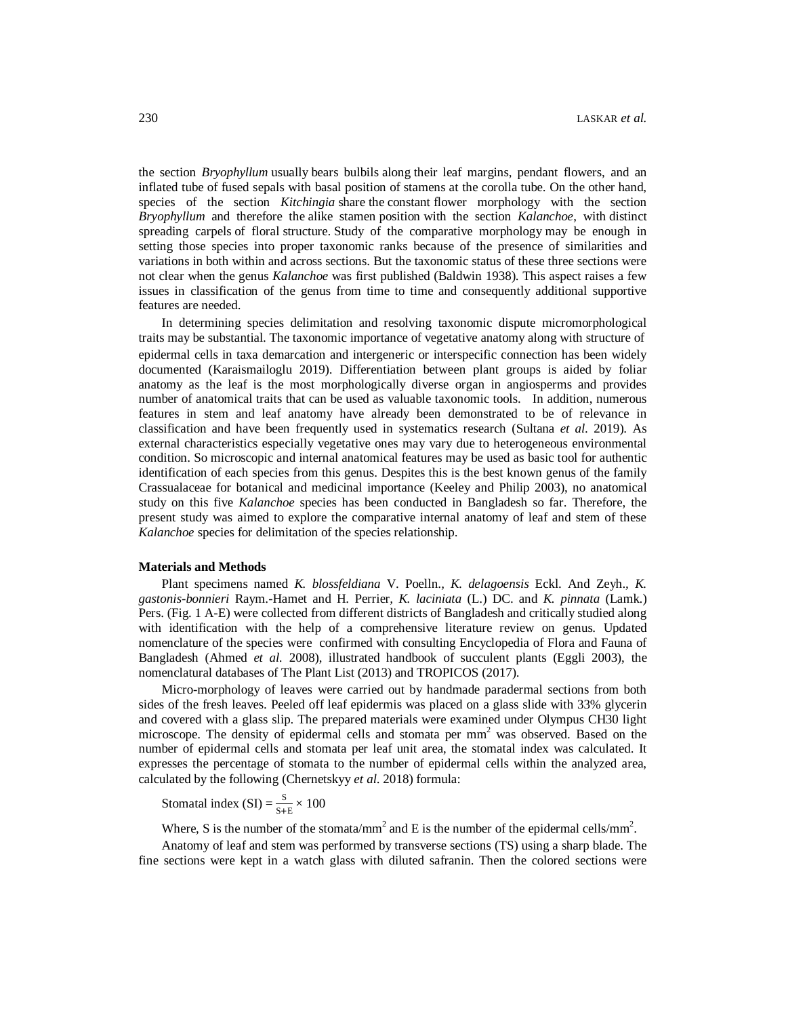the section *Bryophyllum* usually bears bulbils along their leaf margins, pendant flowers, and an inflated tube of fused sepals with basal position of stamens at the corolla tube. On the other hand, species of the section *Kitchingia* share the constant flower morphology with the section *Bryophyllum* and therefore the alike stamen position with the section *Kalanchoe*, with distinct spreading carpels of floral structure. Study of the comparative morphology may be enough in setting those species into proper taxonomic ranks because of the presence of similarities and variations in both within and across sections. But the taxonomic status of these three sections were not clear when the genus *Kalanchoe* was first published (Baldwin 1938). This aspect raises a few issues in classification of the genus from time to time and consequently additional supportive features are needed.

In determining species delimitation and resolving taxonomic dispute micromorphological traits may be substantial. The taxonomic importance of vegetative anatomy along with structure of epidermal cells in taxa demarcation and intergeneric or interspecific connection has been widely documented (Karaismailoglu 2019). Differentiation between plant groups is aided by foliar anatomy as the leaf is the most morphologically diverse organ in angiosperms and provides number of anatomical traits that can be used as valuable taxonomic tools. In addition, numerous features in stem and leaf anatomy have already been demonstrated to be of relevance in classification and have been frequently used in systematics research (Sultana *et al*. 2019). As external characteristics especially vegetative ones may vary due to heterogeneous environmental condition. So microscopic and internal anatomical features may be used as basic tool for authentic identification of each species from this genus. Despites this is the best known genus of the family Crassualaceae for botanical and medicinal importance (Keeley and Philip 2003), no anatomical study on this five *Kalanchoe* species has been conducted in Bangladesh so far. Therefore, the present study was aimed to explore the comparative internal anatomy of leaf and stem of these *Kalanchoe* species for delimitation of the species relationship.

#### **Materials and Methods**

Plant specimens named *K. blossfeldiana* V. Poelln.*, K. delagoensis* Eckl. And Zeyh.*, K. gastonis-bonnieri* Raym.-Hamet and H. Perrier*, K. laciniata* (L.) DC. and *K. pinnata* (Lamk.) Pers. (Fig. 1 A-E) were collected from different districts of Bangladesh and critically studied along with identification with the help of a comprehensive literature review on genus. Updated nomenclature of the species were confirmed with consulting Encyclopedia of Flora and Fauna of Bangladesh (Ahmed *et al.* 2008), illustrated handbook of succulent plants (Eggli 2003), the nomenclatural databases of The Plant List (2013) and TROPICOS (2017).

Micro-morphology of leaves were carried out by handmade paradermal sections from both sides of the fresh leaves. Peeled off leaf epidermis was placed on a glass slide with 33% glycerin and covered with a glass slip. The prepared materials were examined under Olympus CH30 light microscope. The density of epidermal cells and stomata per mm<sup>2</sup> was observed. Based on the number of epidermal cells and stomata per leaf unit area, the stomatal index was calculated. It expresses the percentage of stomata to the number of epidermal cells within the analyzed area, calculated by the following (Chernetskyy *et al*. 2018) formula:

Stomatal index (SI) =  $\frac{S}{S+E} \times 100$ 

Where, S is the number of the stomata/mm<sup>2</sup> and E is the number of the epidermal cells/mm<sup>2</sup>.

Anatomy of leaf and stem was performed by transverse sections (TS) using a sharp blade. The fine sections were kept in a watch glass with diluted safranin. Then the colored sections were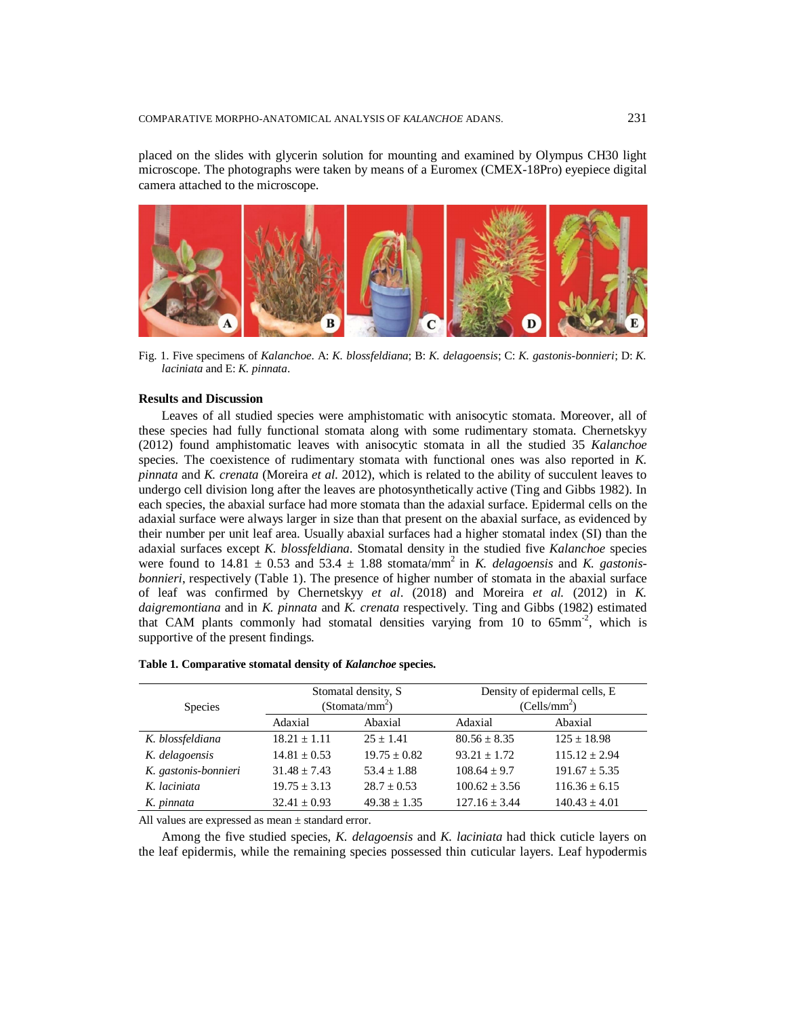placed on the slides with glycerin solution for mounting and examined by Olympus CH30 light microscope. The photographs were taken by means of a Euromex (CMEX-18Pro) eyepiece digital camera attached to the microscope.



Fig. 1. Five specimens of *Kalanchoe*. A: *K. blossfeldiana*; B: *K. delagoensis*; C: *K. gastonis-bonnieri*; D: *K. laciniata* and E: *K. pinnata*.

#### **Results and Discussion**

Leaves of all studied species were amphistomatic with anisocytic stomata. Moreover, all of these species had fully functional stomata along with some rudimentary stomata. Chernetskyy (2012) found amphistomatic leaves with anisocytic stomata in all the studied 35 *Kalanchoe* species. The coexistence of rudimentary stomata with functional ones was also reported in *K. pinnata* and *K. crenata* (Moreira *et al*. 2012), which is related to the ability of succulent leaves to undergo cell division long after the leaves are photosynthetically active (Ting and Gibbs 1982). In each species, the abaxial surface had more stomata than the adaxial surface. Epidermal cells on the adaxial surface were always larger in size than that present on the abaxial surface, as evidenced by their number per unit leaf area. Usually abaxial surfaces had a higher stomatal index (SI) than the adaxial surfaces except *K. blossfeldiana*. Stomatal density in the studied five *Kalanchoe* species were found to  $14.81 \pm 0.53$  and  $53.4 \pm 1.88$  stomata/mm<sup>2</sup> in *K. delagoensis* and *K. gastonisbonnieri*, respectively (Table 1). The presence of higher number of stomata in the abaxial surface of leaf was confirmed by Chernetskyy *et al*. (2018) and Moreira *et al.* (2012) in *K. daigremontiana* and in *K. pinnata* and *K. crenata* respectively. Ting and Gibbs (1982) estimated that CAM plants commonly had stomatal densities varying from 10 to 65mm<sup>-2</sup>, which is supportive of the present findings.

| <b>Species</b>       | Stomatal density, S<br>(Stomata/mm <sup>2</sup> ) |                  | Density of epidermal cells, E<br>(Cells/mm <sup>2</sup> ) |                   |  |
|----------------------|---------------------------------------------------|------------------|-----------------------------------------------------------|-------------------|--|
|                      | Adaxial                                           | Abaxial          | Adaxial                                                   | Abaxial           |  |
| K. blossfeldiana     | $18.21 + 1.11$                                    | $25 + 1.41$      | $80.56 \pm 8.35$                                          | $125 \pm 18.98$   |  |
| K. delagoensis       | $14.81 + 0.53$                                    | $19.75 \pm 0.82$ | $93.21 + 1.72$                                            | $115.12 + 2.94$   |  |
| K. gastonis-bonnieri | $31.48 + 7.43$                                    | $53.4 + 1.88$    | $108.64 + 9.7$                                            | $191.67 + 5.35$   |  |
| K. laciniata         | $19.75 + 3.13$                                    | $28.7 + 0.53$    | $100.62 + 3.56$                                           | $116.36 + 6.15$   |  |
| K. pinnata           | $32.41 + 0.93$                                    | $49.38 \pm 1.35$ | $127.16 + 3.44$                                           | $140.43 \pm 4.01$ |  |

|  | Table 1. Comparative stomatal density of Kalanchoe species. |  |  |  |  |  |
|--|-------------------------------------------------------------|--|--|--|--|--|
|--|-------------------------------------------------------------|--|--|--|--|--|

All values are expressed as mean ± standard error.

Among the five studied species, *K. delagoensis* and *K. laciniata* had thick cuticle layers on the leaf epidermis, while the remaining species possessed thin cuticular layers. Leaf hypodermis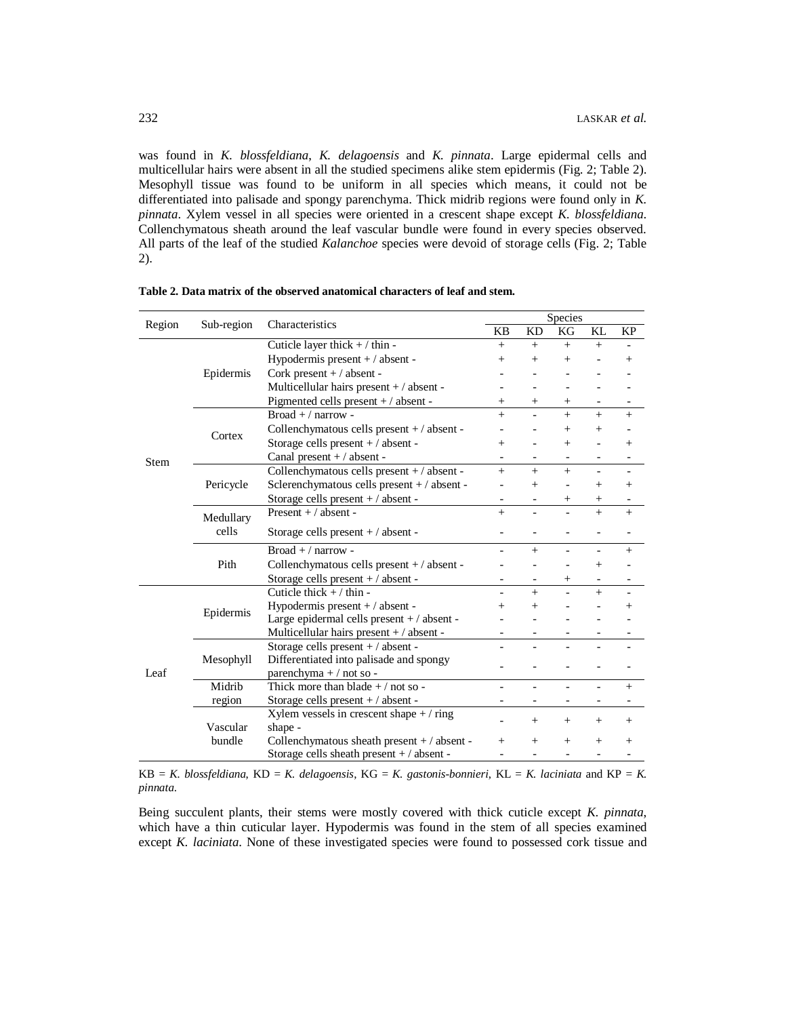was found in *K. blossfeldiana*, *K. delagoensis* and *K. pinnata*. Large epidermal cells and multicellular hairs were absent in all the studied specimens alike stem epidermis (Fig. 2; Table 2). Mesophyll tissue was found to be uniform in all species which means, it could not be differentiated into palisade and spongy parenchyma. Thick midrib regions were found only in *K. pinnata*. Xylem vessel in all species were oriented in a crescent shape except *K. blossfeldiana*. Collenchymatous sheath around the leaf vascular bundle were found in every species observed. All parts of the leaf of the studied *Kalanchoe* species were devoid of storage cells (Fig. 2; Table 2).

|        | Sub-region         | Characteristics                              | Species        |                          |                          |                          |                          |  |
|--------|--------------------|----------------------------------------------|----------------|--------------------------|--------------------------|--------------------------|--------------------------|--|
| Region |                    |                                              |                | KD                       | KG                       | KL                       | <b>KP</b>                |  |
|        |                    | Cuticle layer thick $+ / \text{thin}$ -      | $+$            | $^{+}$                   | $^{+}$                   | $+$                      |                          |  |
|        |                    | Hypodermis present $+ /$ absent -            | $^{+}$         | $\overline{+}$           | $^{+}$                   |                          | $^{+}$                   |  |
|        | Epidermis          | Cork present $+ /$ absent -                  |                |                          |                          |                          |                          |  |
|        |                    | Multicellular hairs present $+ /$ absent -   |                |                          |                          |                          |                          |  |
|        |                    | Pigmented cells present + / absent -         |                | $^{+}$                   | $^{+}$                   |                          | $\overline{\phantom{a}}$ |  |
|        |                    | $Broad + / narrow -$                         | $+$            |                          | $+$                      | $\ddot{}$                | $^{+}$                   |  |
|        | Cortex             | Collenchymatous cells present +/absent -     |                |                          | $^{+}$                   | $^{+}$                   |                          |  |
|        |                    | Storage cells present $+ /$ absent -         |                |                          | $^{+}$                   |                          | $^{+}$                   |  |
| Stem   |                    | Canal present $+ /$ absent -                 |                |                          |                          |                          | -                        |  |
|        |                    | Collenchymatous cells present +/absent -     | $+$            | $^{+}$                   | $+$                      | $\overline{\phantom{0}}$ | $\qquad \qquad -$        |  |
|        | Pericycle          | Sclerenchymatous cells present + / absent -  |                | $^{+}$                   |                          | $+$                      | $^{+}$                   |  |
|        |                    | Storage cells present $+ /$ absent -         |                |                          | $^+$                     | $^{+}$                   |                          |  |
|        | Medullary<br>cells | Present $+ /$ absent -                       | $+$            | $\overline{\phantom{0}}$ |                          | $\ddot{}$                | $^{+}$                   |  |
|        |                    | Storage cells present $+ /$ absent -         |                |                          |                          |                          |                          |  |
|        | Pith               | $Broad + / narrow -$                         |                | $^{+}$                   |                          |                          | $^{+}$                   |  |
|        |                    | Collenchymatous cells present +/absent -     |                |                          |                          | $^{+}$                   |                          |  |
|        |                    | Storage cells present +/absent -             |                |                          | $^{+}$                   | $\overline{\phantom{a}}$ | $\qquad \qquad -$        |  |
| Leaf   | Epidermis          | Cuticle thick $+ /$ thin -                   | $\overline{a}$ | $+$                      |                          | $+$                      |                          |  |
|        |                    | Hypodermis present + / absent -              | $^{+}$         | $\overline{+}$           |                          |                          | $^{+}$                   |  |
|        |                    | Large epidermal cells present $+ /$ absent - |                |                          |                          |                          |                          |  |
|        |                    | Multicellular hairs present + / absent -     |                |                          |                          |                          |                          |  |
|        | Mesophyll          | Storage cells present +/absent -             |                |                          |                          |                          |                          |  |
|        |                    | Differentiated into palisade and spongy      |                |                          |                          |                          |                          |  |
|        |                    | parenchyma + / not so -                      |                |                          |                          |                          |                          |  |
|        | Midrib             | Thick more than blade $+$ / not so -         |                | $\overline{a}$           | $\overline{\phantom{0}}$ | $\overline{\phantom{0}}$ | $+$                      |  |
|        | region             | Storage cells present $+ /$ absent -         |                |                          |                          |                          |                          |  |
|        |                    | Xylem vessels in crescent shape $+ /$ ring   |                | $^{+}$                   | $^{+}$                   | $^{+}$                   | $^{+}$                   |  |
|        | Vascular           | shape -                                      |                |                          |                          |                          |                          |  |
|        | bundle             | Collenchymatous sheath present +/absent -    | $^{+}$         | $\overline{ }$           | $^{+}$                   | $^{+}$                   | $^{+}$                   |  |
|        |                    | Storage cells sheath present +/absent -      |                |                          |                          |                          |                          |  |

**Table 2. Data matrix of the observed anatomical characters of leaf and stem.**

 $KB = K$ . blossfeldiana,  $KD = K$ . delagoensis,  $KG = K$ . gastonis-bonnieri,  $KL = K$ . laciniata and  $KP = K$ . *pinnata*.

Being succulent plants, their stems were mostly covered with thick cuticle except *K. pinnata*, which have a thin cuticular layer. Hypodermis was found in the stem of all species examined except *K. laciniata*. None of these investigated species were found to possessed cork tissue and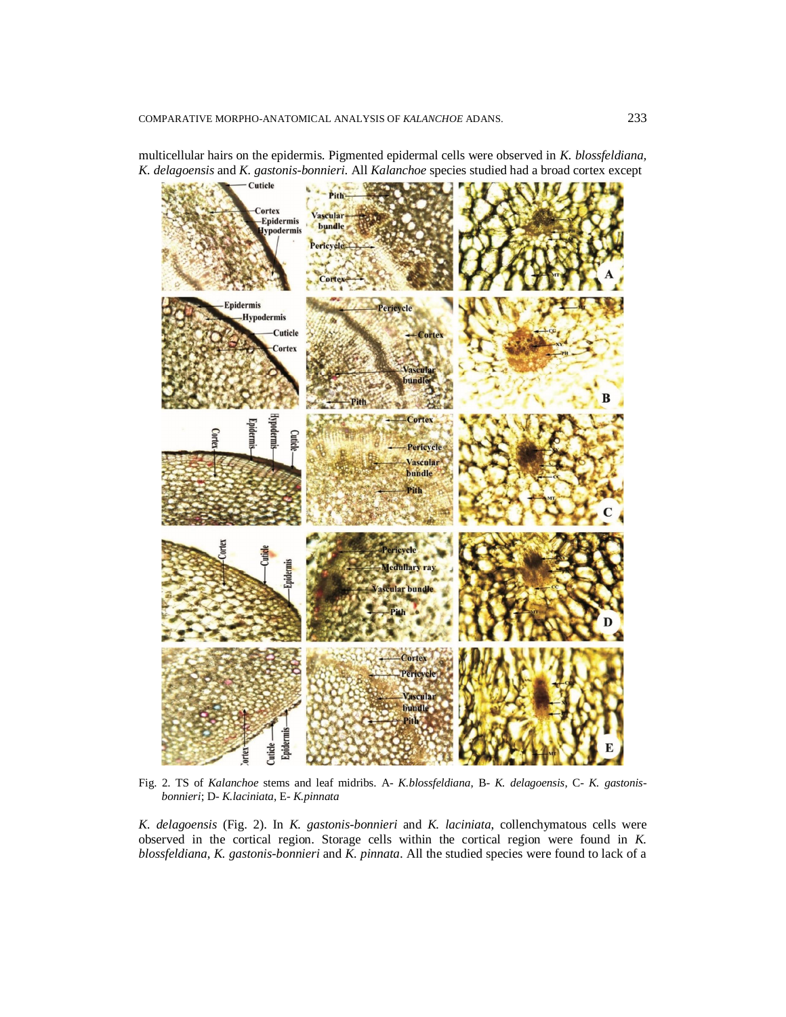multicellular hairs on the epidermis. Pigmented epidermal cells were observed in *K. blossfeldiana, K. delagoensis* and *K. gastonis-bonnieri*. All *Kalanchoe* species studied had a broad cortex except



Fig. 2. TS of *Kalanchoe* stems and leaf midribs. A- *K.blossfeldiana*, B- *K. delagoensis*, C- *K. gastonisbonnieri*; D- *K.laciniata*, E- *K.pinnata*

*K. delagoensis* (Fig. 2). In *K. gastonis-bonnieri* and *K. laciniata*, collenchymatous cells were observed in the cortical region. Storage cells within the cortical region were found in *K. blossfeldiana*, *K. gastonis-bonnieri* and *K. pinnata*. All the studied species were found to lack of a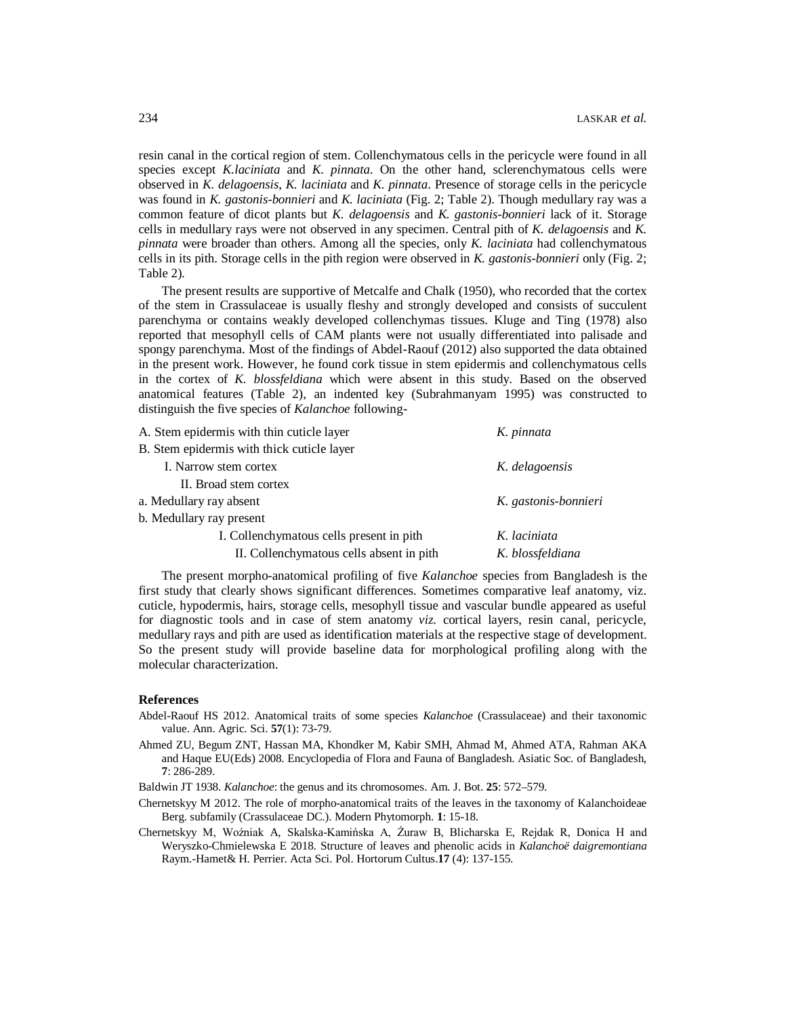resin canal in the cortical region of stem. Collenchymatous cells in the pericycle were found in all species except *K.laciniata* and *K. pinnata*. On the other hand, sclerenchymatous cells were observed in *K. delagoensis*, *K. laciniata* and *K. pinnata*. Presence of storage cells in the pericycle was found in *K. gastonis-bonnieri* and *K. laciniata* (Fig. 2; Table 2). Though medullary ray was a common feature of dicot plants but *K. delagoensis* and *K. gastonis-bonnieri* lack of it. Storage cells in medullary rays were not observed in any specimen. Central pith of *K. delagoensis* and *K. pinnata* were broader than others. Among all the species, only *K. laciniata* had collenchymatous cells in its pith. Storage cells in the pith region were observed in *K. gastonis-bonnieri* only (Fig. 2; Table 2).

The present results are supportive of Metcalfe and Chalk (1950), who recorded that the cortex of the stem in Crassulaceae is usually fleshy and strongly developed and consists of succulent parenchyma or contains weakly developed collenchymas tissues. Kluge and Ting (1978) also reported that mesophyll cells of CAM plants were not usually differentiated into palisade and spongy parenchyma. Most of the findings of Abdel-Raouf (2012) also supported the data obtained in the present work. However, he found cork tissue in stem epidermis and collenchymatous cells in the cortex of *K. blossfeldiana* which were absent in this study. Based on the observed anatomical features (Table 2), an indented key (Subrahmanyam 1995) was constructed to distinguish the five species of *Kalanchoe* following-

| A. Stem epidermis with thin cuticle layer  | K. pinnata           |
|--------------------------------------------|----------------------|
| B. Stem epidermis with thick cuticle layer |                      |
| I. Narrow stem cortex                      | K. delagoensis       |
| II. Broad stem cortex                      |                      |
| a. Medullary ray absent                    | K. gastonis-bonnieri |
| b. Medullary ray present                   |                      |
| I. Collenchymatous cells present in pith   | K. laciniata         |
| II. Collenchymatous cells absent in pith   | K. blossfeldiana     |

The present morpho-anatomical profiling of five *Kalanchoe* species from Bangladesh is the first study that clearly shows significant differences. Sometimes comparative leaf anatomy, viz. cuticle, hypodermis, hairs, storage cells, mesophyll tissue and vascular bundle appeared as useful for diagnostic tools and in case of stem anatomy *viz.* cortical layers, resin canal, pericycle, medullary rays and pith are used as identification materials at the respective stage of development. So the present study will provide baseline data for morphological profiling along with the molecular characterization.

### **References**

- Abdel-Raouf HS 2012. Anatomical traits of some species *Kalanchoe* (Crassulaceae) and their taxonomic value. Ann. Agric. Sci. **57**(1): 73-79.
- Ahmed ZU, Begum ZNT, Hassan MA, Khondker M, Kabir SMH, Ahmad M, Ahmed ATA, Rahman AKA and Haque EU(Eds) 2008. Encyclopedia of Flora and Fauna of Bangladesh. Asiatic Soc. of Bangladesh, **7**: 286-289.
- Baldwin JT 1938. *Kalanchoe*: the genus and its chromosomes. Am. J. Bot. **25**: 572–579.
- Chernetskyy M 2012. The role of morpho-anatomical traits of the leaves in the taxonomy of Kalanchoideae Berg. subfamily (Crassulaceae DC.). Modern Phytomorph. **1**: 15-18.
- Chernetskyy M, Woźniak A, Skalska-Kamińska A, Żuraw B, Blicharska E, Rejdak R, Donica H and Weryszko-Chmielewska E 2018. Structure of leaves and phenolic acids in *Kalanchoë daigremontiana*  Raym.-Hamet& H. Perrier. Acta Sci. Pol. Hortorum Cultus.**17** (4): 137-155.